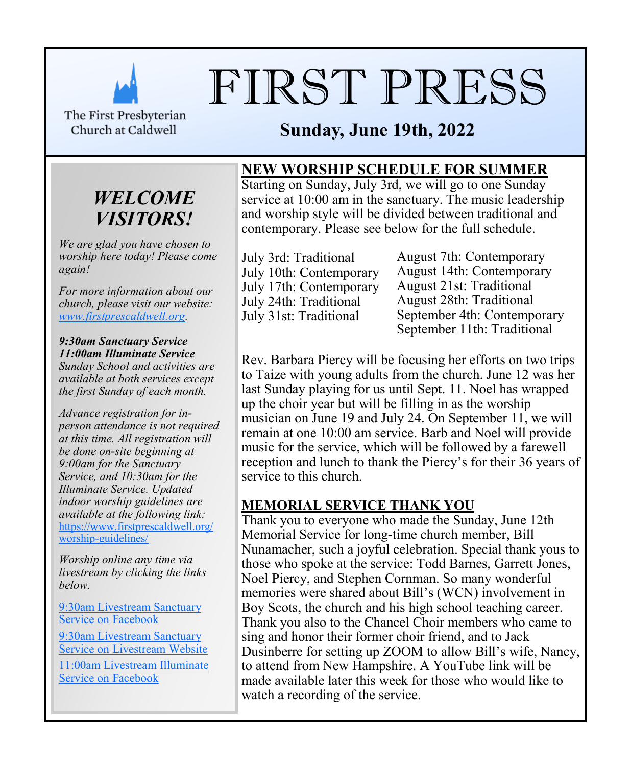

# FIRST PRESS

The First Presbyterian Church at Caldwell

# **Sunday, June 19th, 2022**

# *WELCOME VISITORS!*

*We are glad you have chosen to worship here today! Please come again!*

*For more information about our church, please visit our website: [www.firstprescaldwell.org.](http://www.firstprescaldwell.org)* 

*9:30am Sanctuary Service 11:00am Illuminate Service Sunday School and activities are available at both services except the first Sunday of each month.* 

*Advance registration for inperson attendance is not required at this time. All registration will be done on-site beginning at 9:00am for the Sanctuary Service, and 10:30am for the Illuminate Service. Updated indoor worship guidelines are available at the following link:* [https://www.firstprescaldwell.org/](https://www.firstprescaldwell.org/worship-guidelines/) [worship-guidelines/](https://www.firstprescaldwell.org/worship-guidelines/)

*Worship online any time via livestream by clicking the links below.* 

[9:30am Livestream Sanctuary](https://www.facebook.com/firstprescaldwell/)  [Service on Facebook](https://www.facebook.com/firstprescaldwell/)

[9:30am Livestream Sanctuary](https://livestream.com/accounts/21941295)  [Service on Livestream Website](https://livestream.com/accounts/21941295)

[11:00am Livestream Illuminate](https://www.facebook.com/illuminateNJ/)  [Service on Facebook](https://www.facebook.com/illuminateNJ/)

**NEW WORSHIP SCHEDULE FOR SUMMER** 

Starting on Sunday, July 3rd, we will go to one Sunday service at 10:00 am in the sanctuary. The music leadership and worship style will be divided between traditional and contemporary. Please see below for the full schedule.

July 3rd: Traditional July 10th: Contemporary July 17th: Contemporary July 24th: Traditional July 31st: Traditional

August 7th: Contemporary August 14th: Contemporary August 21st: Traditional August 28th: Traditional September 4th: Contemporary September 11th: Traditional

Rev. Barbara Piercy will be focusing her efforts on two trips to Taize with young adults from the church. June 12 was her last Sunday playing for us until Sept. 11. Noel has wrapped up the choir year but will be filling in as the worship musician on June 19 and July 24. On September 11, we will remain at one 10:00 am service. Barb and Noel will provide music for the service, which will be followed by a farewell reception and lunch to thank the Piercy's for their 36 years of service to this church.

## **MEMORIAL SERVICE THANK YOU**

Thank you to everyone who made the Sunday, June 12th Memorial Service for long-time church member, Bill Nunamacher, such a joyful celebration. Special thank yous to those who spoke at the service: Todd Barnes, Garrett Jones, Noel Piercy, and Stephen Cornman. So many wonderful memories were shared about Bill's (WCN) involvement in Boy Scots, the church and his high school teaching career. Thank you also to the Chancel Choir members who came to sing and honor their former choir friend, and to Jack Dusinberre for setting up ZOOM to allow Bill's wife, Nancy, to attend from New Hampshire. A YouTube link will be made available later this week for those who would like to watch a recording of the service.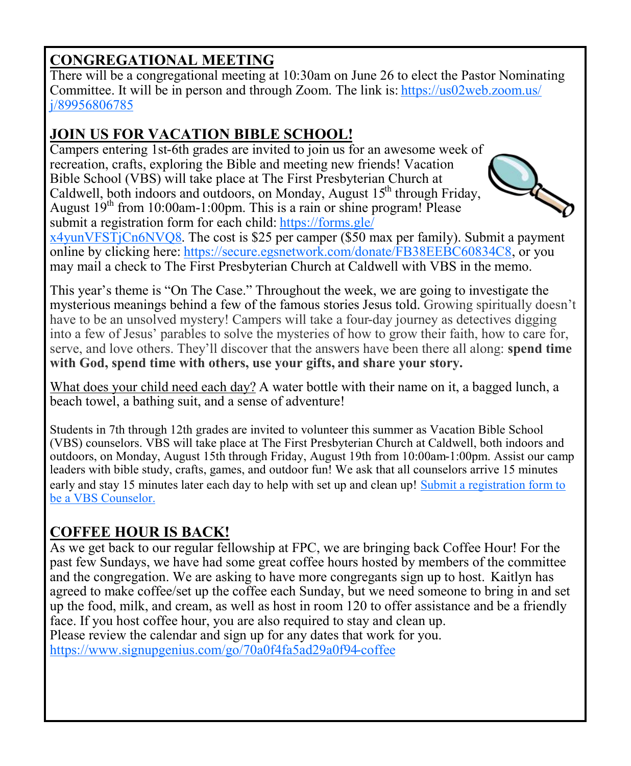# **CONGREGATIONAL MEETING**

There will be a congregational meeting at 10:30am on June 26 to elect the Pastor Nominating Committee. It will be in person and through Zoom. The link is: [https://us02web.zoom.us/](https://r20.rs6.net/tn.jsp?f=001Jt9oZnwfXNeU4jhapnQ30HixlMGrXpY7AWAdvcGGOWSSpwEUsW8RobwMSWHiztskG1dThlg8vG1MMvfsj_z8JrEro8TJXFVJq4ENWeY6DWomv6hvL9nJGQLWdsWgx0eIu45_1Vwd3ttECfJ08bGTu6xy_LHghpiYsjNQcR4mKqU=&c=Z8NT4polw0LUjQ4ti6y1jwarx1m7JNgJPspgX1DPYzOPA5290ZbF) [j/89956806785](https://r20.rs6.net/tn.jsp?f=001Jt9oZnwfXNeU4jhapnQ30HixlMGrXpY7AWAdvcGGOWSSpwEUsW8RobwMSWHiztskG1dThlg8vG1MMvfsj_z8JrEro8TJXFVJq4ENWeY6DWomv6hvL9nJGQLWdsWgx0eIu45_1Vwd3ttECfJ08bGTu6xy_LHghpiYsjNQcR4mKqU=&c=Z8NT4polw0LUjQ4ti6y1jwarx1m7JNgJPspgX1DPYzOPA5290ZbF)

# **JOIN US FOR VACATION BIBLE SCHOOL!**

Campers entering 1st-6th grades are invited to join us for an awesome week of recreation, crafts, exploring the Bible and meeting new friends! Vacation Bible School (VBS) will take place at The First Presbyterian Church at Caldwell, both indoors and outdoors, on Monday, August  $15<sup>th</sup>$  through Friday, August  $19<sup>th</sup>$  from 10:00am-1:00pm. This is a rain or shine program! Please submit a registration form for each child: [https://forms.gle/](https://forms.gle/x4yunVFSTjCn6NVQ8)



[x4yunVFSTjCn6NVQ8.](https://forms.gle/x4yunVFSTjCn6NVQ8) The cost is \$25 per camper (\$50 max per family). Submit a payment online by clicking here: [https://secure.egsnetwork.com/donate/FB38EEBC60834C8,](https://secure.egsnetwork.com/donate/FB38EEBC60834C8) or you may mail a check to The First Presbyterian Church at Caldwell with VBS in the memo.

This year's theme is "On The Case." Throughout the week, we are going to investigate the mysterious meanings behind a few of the famous stories Jesus told. Growing spiritually doesn't have to be an unsolved mystery! Campers will take a four-day journey as detectives digging into a few of Jesus' parables to solve the mysteries of how to grow their faith, how to care for, serve, and love others. They'll discover that the answers have been there all along: **spend time with God, spend time with others, use your gifts, and share your story.**

What does your child need each day? A water bottle with their name on it, a bagged lunch, a beach towel, a bathing suit, and a sense of adventure!

Students in 7th through 12th grades are invited to volunteer this summer as Vacation Bible School (VBS) counselors. VBS will take place at The First Presbyterian Church at Caldwell, both indoors and outdoors, on Monday, August 15th through Friday, August 19th from 10:00am-1:00pm. Assist our camp leaders with bible study, crafts, games, and outdoor fun! We ask that all counselors arrive 15 minutes early and stay 15 minutes later each day to help with set up and clean up! [Submit a registration form to](https://docs.google.com/forms/d/1frJVo68tLo6IqHjtkAcrJCgBIRFCPP-ipymvaT2j0CU/edit)  [be a VBS Counselor.](https://docs.google.com/forms/d/1frJVo68tLo6IqHjtkAcrJCgBIRFCPP-ipymvaT2j0CU/edit)

# **COFFEE HOUR IS BACK!**

As we get back to our regular fellowship at FPC, we are bringing back Coffee Hour! For the past few Sundays, we have had some great coffee hours hosted by members of the committee and the congregation. We are asking to have more congregants sign up to host. Kaitlyn has agreed to make coffee/set up the coffee each Sunday, but we need someone to bring in and set up the food, milk, and cream, as well as host in room 120 to offer assistance and be a friendly face. If you host coffee hour, you are also required to stay and clean up. Please review the calendar and sign up for any dates that work for you. <https://www.signupgenius.com/go/70a0f4fa5ad29a0f94-coffee>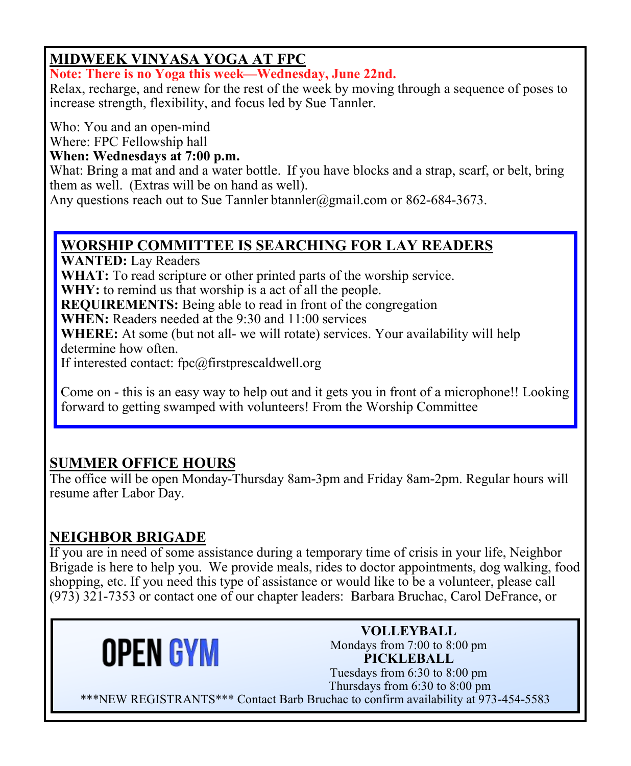# **MIDWEEK VINYASA YOGA AT FPC**

**Note: There is no Yoga this week—Wednesday, June 22nd.** 

Relax, recharge, and renew for the rest of the week by moving through a sequence of poses to increase strength, flexibility, and focus led by Sue Tannler.

Who: You and an open-mind

Where: FPC Fellowship hall

### **When: Wednesdays at 7:00 p.m.**

What: Bring a mat and and a water bottle. If you have blocks and a strap, scarf, or belt, bring them as well. (Extras will be on hand as well).

Any questions reach out to Sue Tannler btannler@gmail.com or 862-684-3673.

## **WORSHIP COMMITTEE IS SEARCHING FOR LAY READERS**

WANTED: Lay Readers

WHAT: To read scripture or other printed parts of the worship service.

**WHY:** to remind us that worship is a act of all the people.

**REQUIREMENTS:** Being able to read in front of the congregation

**WHEN:** Readers needed at the 9:30 and 11:00 services

**WHERE:** At some (but not all- we will rotate) services. Your availability will help determine how often.

If interested contact: fpc@firstprescaldwell.org

Come on - this is an easy way to help out and it gets you in front of a microphone!! Looking forward to getting swamped with volunteers! From the Worship Committee

## **SUMMER OFFICE HOURS**

The office will be open Monday-Thursday 8am-3pm and Friday 8am-2pm. Regular hours will resume after Labor Day.

## **NEIGHBOR BRIGADE**

If you are in need of some assistance during a temporary time of crisis in your life, Neighbor Brigade is here to help you. We provide meals, rides to doctor appointments, dog walking, food shopping, etc. If you need this type of assistance or would like to be a volunteer, please call (973) 321-7353 or contact one of our chapter leaders: Barbara Bruchac, Carol DeFrance, or



**VOLLEYBALL** Mondays from 7:00 to 8:00 pm **PICKLEBALL** Tuesdays from 6:30 to 8:00 pm Thursdays from 6:30 to 8:00 pm

\*\*\*NEW REGISTRANTS\*\*\* Contact Barb Bruchac to confirm availability at 973-454-5583